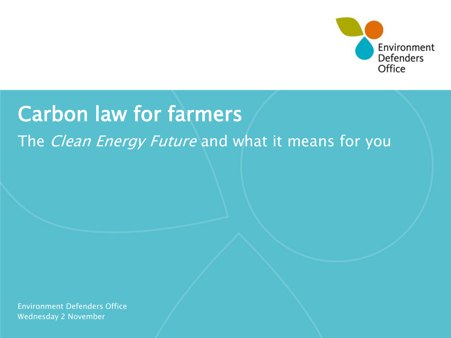

#### Carbon law for farmers

#### The *Clean Energy Future* and what it means for you

Wednesday 2 November Environment Defenders Office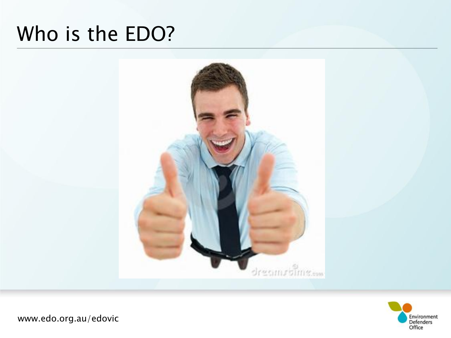#### Who is the EDO?



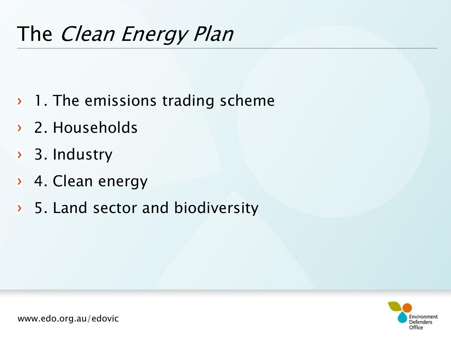#### The Clean Energy Plan

- $\rightarrow$  1. The emissions trading scheme
- 2. Households
- > 3. Industry
- 4. Clean energy
- > 5. Land sector and biodiversity

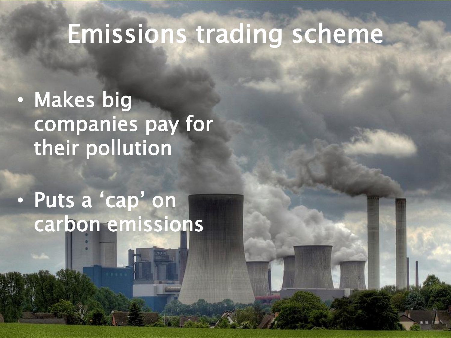### Emissions trading scheme

• Makes big companies pay for their pollution

#### • Puts a 'cap' on carbon emissions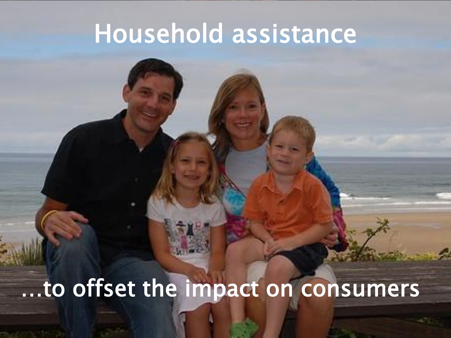### Household assistance

### …to offset the impact on consumers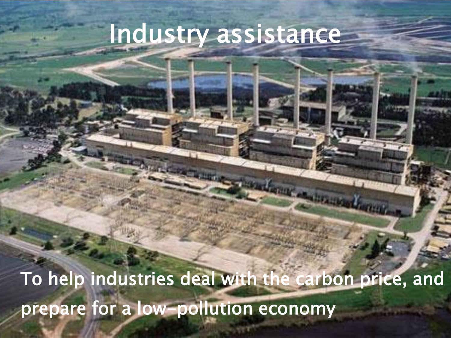### Industry assistance

To help industries deal with the carbon price, and prepare for a low-pollution economy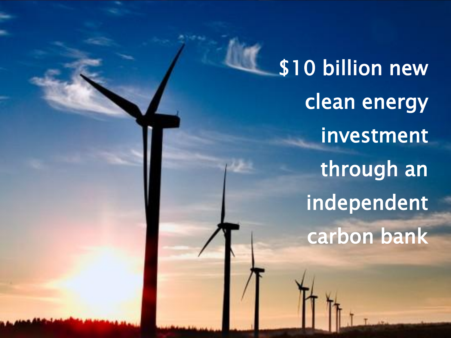\$10 billion new clean energy investment through an independent carbon bank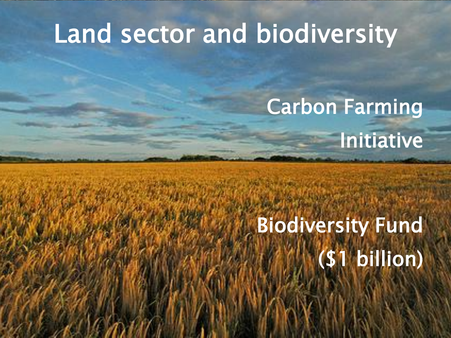### Land sector and biodiversity

### Carbon Farming Initiative

i.

# Biodiversity Fund (\$1 billion)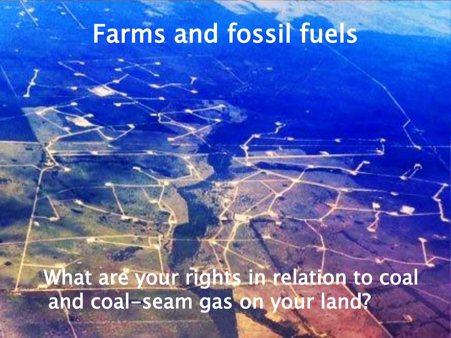### Farms and fossil fuels

What are your rights in relation to coal and coal-seam gas on your land?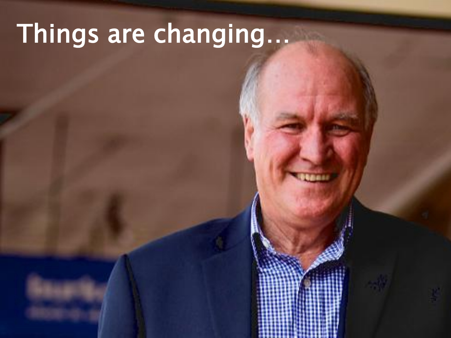# Things are changing…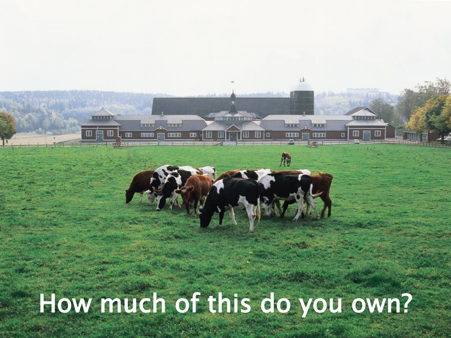How much of this do you own?

计图片数据程序

**THEM HELD** 

**THE** 

THE W. RET

**BLUE** 

AJ

**REALER** 

**THE REAL** 

THEMELON

自己再出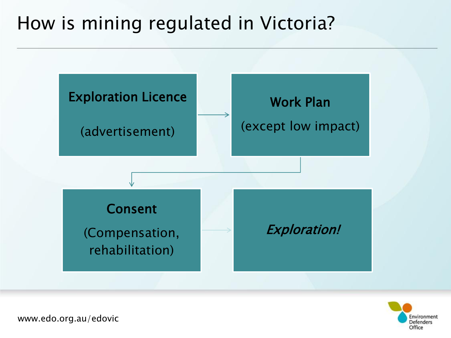#### How is mining regulated in Victoria?



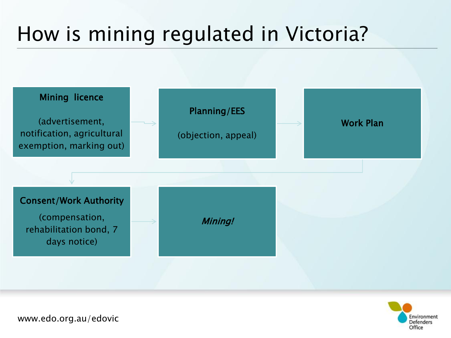#### How is mining regulated in Victoria?



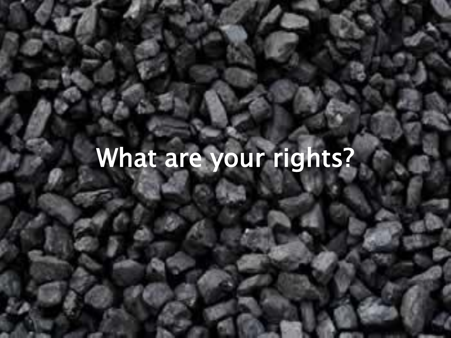# What are your rights?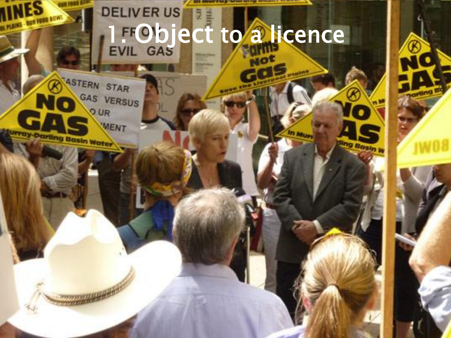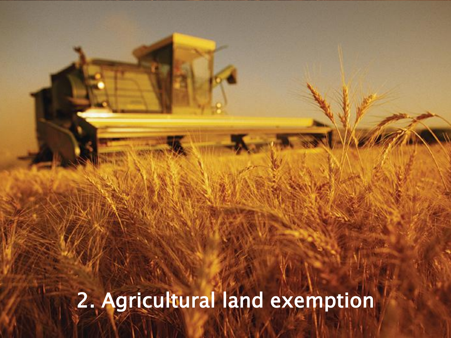2. Agricultural land exemption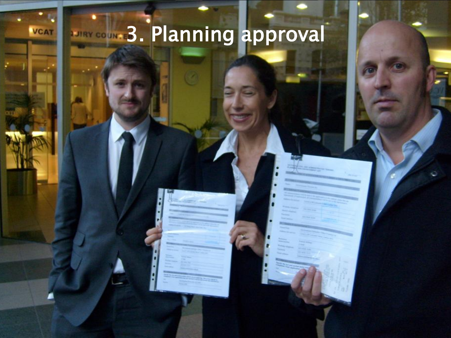### **3. Planning approval**

**VCAT**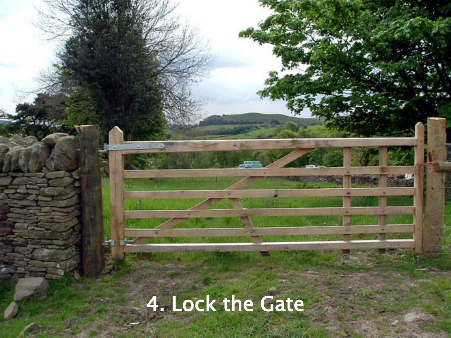## 4. Lock the Gate